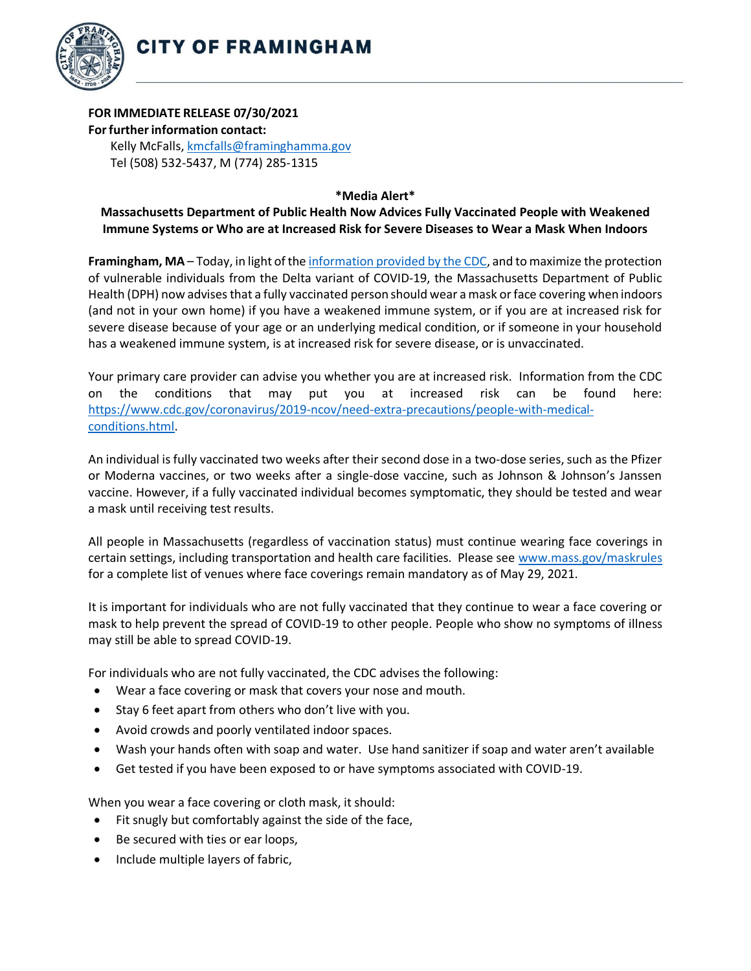

## **FOR IMMEDIATE RELEASE 07/30/2021 Forfurtherinformation contact:**

Kelly McFalls[, kmcfalls@framinghamma.gov](mailto:kmcfalls@framinghamma.gov) Tel (508) 532-5437, M (774) 285-1315

**\*Media Alert\***

## **Massachusetts Department of Public Health Now Advices Fully Vaccinated People with Weakened Immune Systems or Who are at Increased Risk for Severe Diseases to Wear a Mask When Indoors**

**Framingham, MA** – Today, in light of th[e information provided by the](https://www.cdc.gov/coronavirus/2019-ncov/vaccines/fully-vaccinated-guidance.html) CDC, and to maximize the protection of vulnerable individuals from the Delta variant of COVID-19, the Massachusetts Department of Public Health (DPH) now advises that a fully vaccinated person should wear a mask or face covering when indoors (and not in your own home) if you have a weakened immune system, or if you are at increased risk for severe disease because of your age or an underlying medical condition, or if someone in your household has a weakened immune system, is at increased risk for severe disease, or is unvaccinated.

Your primary care provider can advise you whether you are at increased risk. Information from the CDC on the conditions that may put you at increased risk can be found here: [https://www.cdc.gov/coronavirus/2019-ncov/need-extra-precautions/people-with-medical](https://www.cdc.gov/coronavirus/2019-ncov/need-extra-precautions/people-with-medical-conditions.html)[conditions.html.](https://www.cdc.gov/coronavirus/2019-ncov/need-extra-precautions/people-with-medical-conditions.html)

An individual is fully vaccinated two weeks after their second dose in a two-dose series, such as the Pfizer or Moderna vaccines, or two weeks after a single-dose vaccine, such as Johnson & Johnson's Janssen vaccine. However, if a fully vaccinated individual becomes symptomatic, they should be tested and wear a mask until receiving test results.

All people in Massachusetts (regardless of vaccination status) must continue wearing face coverings in certain settings, including transportation and health care facilities. Please se[e www.mass.gov/maskrules](http://www.mass.gov/maskrules) for a complete list of venues where face coverings remain mandatory as of May 29, 2021.

It is important for individuals who are not fully vaccinated that they continue to wear a face covering or mask to help prevent the spread of COVID-19 to other people. People who show no symptoms of illness may still be able to spread COVID-19.

For individuals who are not fully vaccinated, the CDC advises the following:

- Wear a face covering or mask that covers your nose and mouth.
- Stay 6 feet apart from others who don't live with you.
- Avoid crowds and poorly ventilated indoor spaces.
- Wash your hands often with soap and water. Use hand sanitizer if soap and water aren't available
- Get tested if you have been exposed to or have symptoms associated with COVID-19.

When you wear a face covering or cloth mask, it should:

- Fit snugly but comfortably against the side of the face,
- Be secured with ties or ear loops,
- Include multiple layers of fabric,